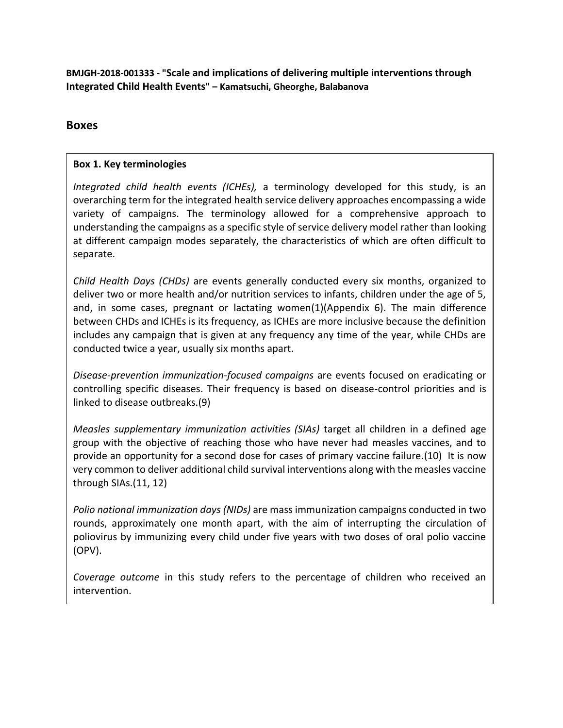**BMJGH-2018-001333 - "Scale and implications of delivering multiple interventions through Integrated Child Health Events" – Kamatsuchi, Gheorghe, Balabanova**

# **Boxes**

## **Box 1. Key terminologies**

*Integrated child health events (ICHEs),* a terminology developed for this study, is an overarching term for the integrated health service delivery approaches encompassing a wide variety of campaigns. The terminology allowed for a comprehensive approach to understanding the campaigns as a specific style of service delivery model rather than looking at different campaign modes separately, the characteristics of which are often difficult to separate.

*Child Health Days (CHDs)* are events generally conducted every six months, organized to deliver two or more health and/or nutrition services to infants, children under the age of 5, and, in some cases, pregnant or lactating women(1)(Appendix 6). The main difference between CHDs and ICHEs is its frequency, as ICHEs are more inclusive because the definition includes any campaign that is given at any frequency any time of the year, while CHDs are conducted twice a year, usually six months apart.

*Disease-prevention immunization-focused campaigns* are events focused on eradicating or controlling specific diseases. Their frequency is based on disease-control priorities and is linked to disease outbreaks.(9)

*Measles supplementary immunization activities (SIAs)* target all children in a defined age group with the objective of reaching those who have never had measles vaccines, and to provide an opportunity for a second dose for cases of primary vaccine failure.(10) It is now very common to deliver additional child survival interventions along with the measles vaccine through SIAs.(11, 12)

*Polio national immunization days (NIDs)* are mass immunization campaigns conducted in two rounds, approximately one month apart, with the aim of interrupting the circulation of poliovirus by immunizing every child under five years with two doses of oral polio vaccine (OPV).

*Coverage outcome* in this study refers to the percentage of children who received an intervention.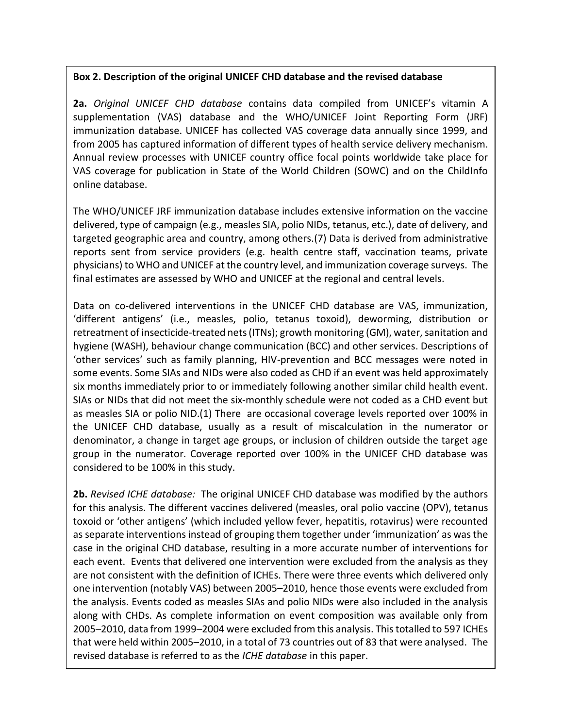### **Box 2. Description of the original UNICEF CHD database and the revised database**

**2a.** *Original UNICEF CHD database* contains data compiled from UNICEF's vitamin A supplementation (VAS) database and the WHO/UNICEF Joint Reporting Form (JRF) immunization database. UNICEF has collected VAS coverage data annually since 1999, and from 2005 has captured information of different types of health service delivery mechanism. Annual review processes with UNICEF country office focal points worldwide take place for VAS coverage for publication in State of the World Children (SOWC) and on the ChildInfo online database.

The WHO/UNICEF JRF immunization database includes extensive information on the vaccine delivered, type of campaign (e.g., measles SIA, polio NIDs, tetanus, etc.), date of delivery, and targeted geographic area and country, among others.(7) Data is derived from administrative reports sent from service providers (e.g. health centre staff, vaccination teams, private physicians) to WHO and UNICEF at the country level, and immunization coverage surveys. The final estimates are assessed by WHO and UNICEF at the regional and central levels.

Data on co-delivered interventions in the UNICEF CHD database are VAS, immunization, 'different antigens' (i.e., measles, polio, tetanus toxoid), deworming, distribution or retreatment of insecticide-treated nets (ITNs); growth monitoring (GM), water, sanitation and hygiene (WASH), behaviour change communication (BCC) and other services. Descriptions of 'other services' such as family planning, HIV-prevention and BCC messages were noted in some events. Some SIAs and NIDs were also coded as CHD if an event was held approximately six months immediately prior to or immediately following another similar child health event. SIAs or NIDs that did not meet the six-monthly schedule were not coded as a CHD event but as measles SIA or polio NID.(1) There are occasional coverage levels reported over 100% in the UNICEF CHD database, usually as a result of miscalculation in the numerator or denominator, a change in target age groups, or inclusion of children outside the target age group in the numerator. Coverage reported over 100% in the UNICEF CHD database was considered to be 100% in this study.

**2b.** *Revised ICHE database:* The original UNICEF CHD database was modified by the authors for this analysis. The different vaccines delivered (measles, oral polio vaccine (OPV), tetanus toxoid or 'other antigens' (which included yellow fever, hepatitis, rotavirus) were recounted as separate interventions instead of grouping them together under 'immunization' as was the case in the original CHD database, resulting in a more accurate number of interventions for each event. Events that delivered one intervention were excluded from the analysis as they are not consistent with the definition of ICHEs. There were three events which delivered only one intervention (notably VAS) between 2005–2010, hence those events were excluded from the analysis. Events coded as measles SIAs and polio NIDs were also included in the analysis along with CHDs. As complete information on event composition was available only from 2005–2010, data from 1999–2004 were excluded from this analysis. This totalled to 597 ICHEs that were held within 2005–2010, in a total of 73 countries out of 83 that were analysed. The revised database is referred to as the *ICHE database* in this paper.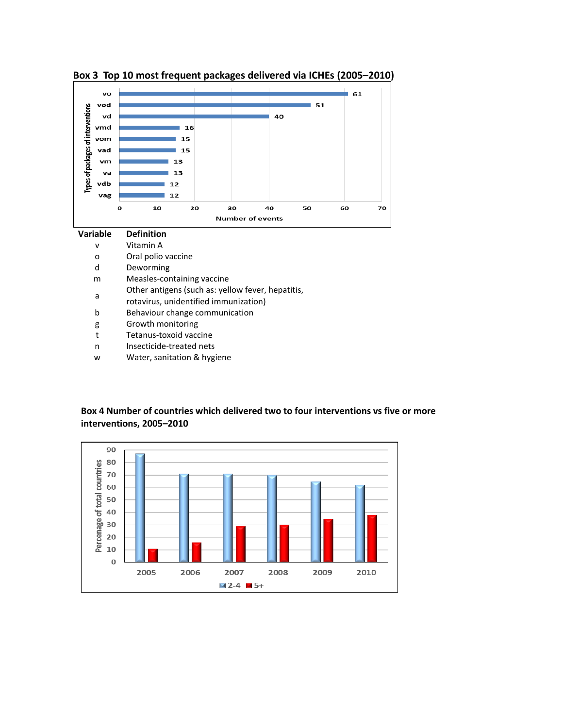

### **Box 3 Top 10 most frequent packages delivered via ICHEs (2005–2010)**

#### **Box 4 Number of countries which delivered two to four interventions vs five or more interventions, 2005–2010**

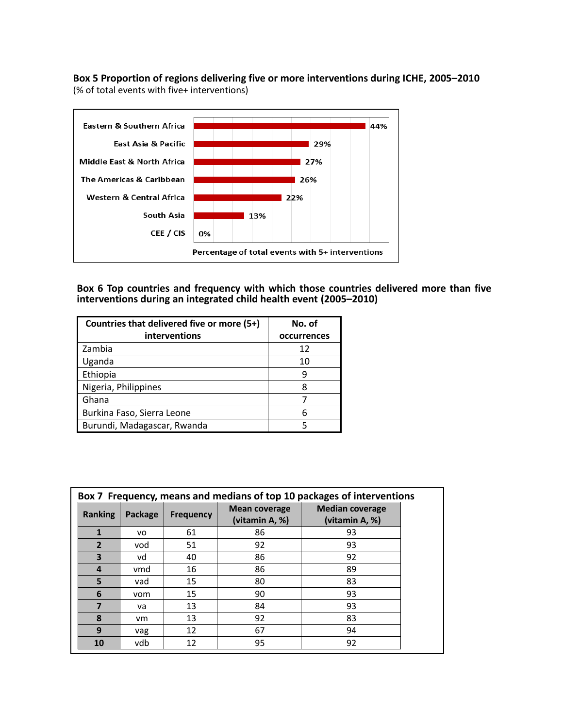**Box 5 Proportion of regions delivering five or more interventions during ICHE, 2005–2010** (% of total events with five+ interventions)



**Box 6 Top countries and frequency with which those countries delivered more than five interventions during an integrated child health event (2005–2010)**

| Countries that delivered five or more (5+) | No. of      |  |
|--------------------------------------------|-------------|--|
| interventions                              | occurrences |  |
| Zambia                                     | 12          |  |
| Uganda                                     | 10          |  |
| Ethiopia                                   | q           |  |
| Nigeria, Philippines                       | 8           |  |
| Ghana                                      |             |  |
| Burkina Faso, Sierra Leone                 |             |  |
| Burundi, Madagascar, Rwanda                |             |  |

|                  | Box 7 Frequency, means and medians of top 10 packages of interventions |                  |                                        |                                          |  |  |
|------------------|------------------------------------------------------------------------|------------------|----------------------------------------|------------------------------------------|--|--|
| Ranking          | Package                                                                | <b>Frequency</b> | <b>Mean coverage</b><br>(vitamin A, %) | <b>Median coverage</b><br>(vitamin A, %) |  |  |
| 1                | VO                                                                     | 61               | 86                                     | 93                                       |  |  |
| $\overline{2}$   | vod                                                                    | 51               | 92                                     | 93                                       |  |  |
| 3                | vd                                                                     | 40               | 86                                     | 92                                       |  |  |
| $\boldsymbol{4}$ | vmd                                                                    | 16               | 86                                     | 89                                       |  |  |
| 5                | vad                                                                    | 15               | 80                                     | 83                                       |  |  |
| 6                | vom                                                                    | 15               | 90                                     | 93                                       |  |  |
| 7                | va                                                                     | 13               | 84                                     | 93                                       |  |  |
| 8                | <b>vm</b>                                                              | 13               | 92                                     | 83                                       |  |  |
| 9                | vag                                                                    | 12               | 67                                     | 94                                       |  |  |
| 10               | vdb                                                                    | 12               | 95                                     | 92                                       |  |  |